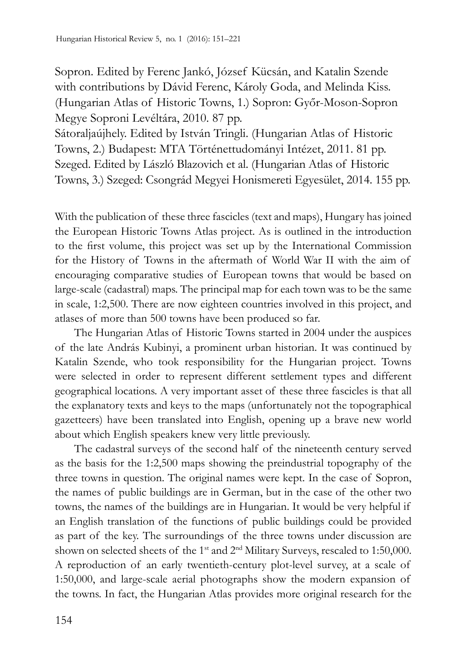Sopron. Edited by Ferenc Jankó, József Kücsán, and Katalin Szende with contributions by Dávid Ferenc, Károly Goda, and Melinda Kiss. (Hungarian Atlas of Historic Towns, 1.) Sopron: Győr-Moson-Sopron Megye Soproni Levéltára, 2010. 87 pp.

Sátoraljaújhely. Edited by István Tringli. (Hungarian Atlas of Historic Towns, 2.) Budapest: MTA Történettudományi Intézet, 2011. 81 pp. Szeged. Edited by László Blazovich et al. (Hungarian Atlas of Historic Towns, 3.) Szeged: Csongrád Megyei Honismereti Egyesület, 2014. 155 pp.

With the publication of these three fascicles (text and maps), Hungary has joined the European Historic Towns Atlas project. As is outlined in the introduction to the first volume, this project was set up by the International Commission for the History of Towns in the aftermath of World War II with the aim of encouraging comparative studies of European towns that would be based on large-scale (cadastral) maps. The principal map for each town was to be the same in scale, 1:2,500. There are now eighteen countries involved in this project, and atlases of more than 500 towns have been produced so far.

The Hungarian Atlas of Historic Towns started in 2004 under the auspices of the late András Kubinyi, a prominent urban historian. It was continued by Katalin Szende, who took responsibility for the Hungarian project. Towns were selected in order to represent different settlement types and different geographical locations. A very important asset of these three fascicles is that all the explanatory texts and keys to the maps (unfortunately not the topographical gazetteers) have been translated into English, opening up a brave new world about which English speakers knew very little previously.

The cadastral surveys of the second half of the nineteenth century served as the basis for the 1:2,500 maps showing the preindustrial topography of the three towns in question. The original names were kept. In the case of Sopron, the names of public buildings are in German, but in the case of the other two towns, the names of the buildings are in Hungarian. It would be very helpful if an English translation of the functions of public buildings could be provided as part of the key. The surroundings of the three towns under discussion are shown on selected sheets of the 1<sup>st</sup> and 2<sup>nd</sup> Military Surveys, rescaled to 1:50,000. A reproduction of an early twentieth-century plot-level survey, at a scale of 1:50,000, and large-scale aerial photographs show the modern expansion of the towns. In fact, the Hungarian Atlas provides more original research for the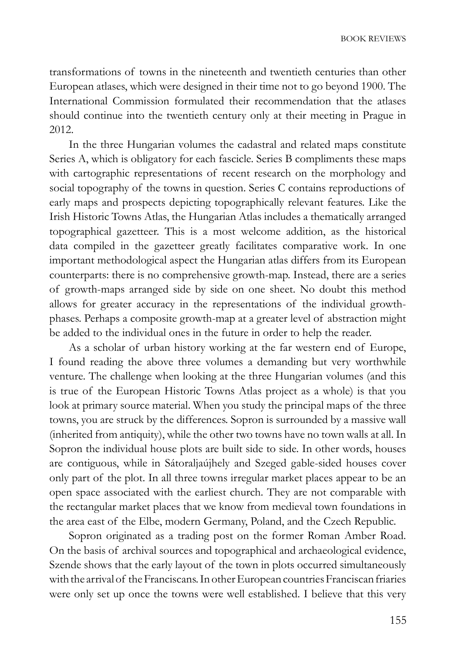transformations of towns in the nineteenth and twentieth centuries than other European atlases, which were designed in their time not to go beyond 1900. The International Commission formulated their recommendation that the atlases should continue into the twentieth century only at their meeting in Prague in 2012.

In the three Hungarian volumes the cadastral and related maps constitute Series A, which is obligatory for each fascicle. Series B compliments these maps with cartographic representations of recent research on the morphology and social topography of the towns in question. Series C contains reproductions of early maps and prospects depicting topographically relevant features. Like the Irish Historic Towns Atlas, the Hungarian Atlas includes a thematically arranged topographical gazetteer. This is a most welcome addition, as the historical data compiled in the gazetteer greatly facilitates comparative work. In one important methodological aspect the Hungarian atlas differs from its European counterparts: there is no comprehensive growth-map. Instead, there are a series of growth-maps arranged side by side on one sheet. No doubt this method allows for greater accuracy in the representations of the individual growthphases. Perhaps a composite growth-map at a greater level of abstraction might be added to the individual ones in the future in order to help the reader.

As a scholar of urban history working at the far western end of Europe, I found reading the above three volumes a demanding but very worthwhile venture. The challenge when looking at the three Hungarian volumes (and this is true of the European Historic Towns Atlas project as a whole) is that you look at primary source material. When you study the principal maps of the three towns, you are struck by the differences. Sopron is surrounded by a massive wall (inherited from antiquity), while the other two towns have no town walls at all. In Sopron the individual house plots are built side to side. In other words, houses are contiguous, while in Sátoraljaújhely and Szeged gable-sided houses cover only part of the plot. In all three towns irregular market places appear to be an open space associated with the earliest church. They are not comparable with the rectangular market places that we know from medieval town foundations in the area east of the Elbe, modern Germany, Poland, and the Czech Republic.

Sopron originated as a trading post on the former Roman Amber Road. On the basis of archival sources and topographical and archaeological evidence, Szende shows that the early layout of the town in plots occurred simultaneously with the arrival of the Franciscans. In other European countries Franciscan friaries were only set up once the towns were well established. I believe that this very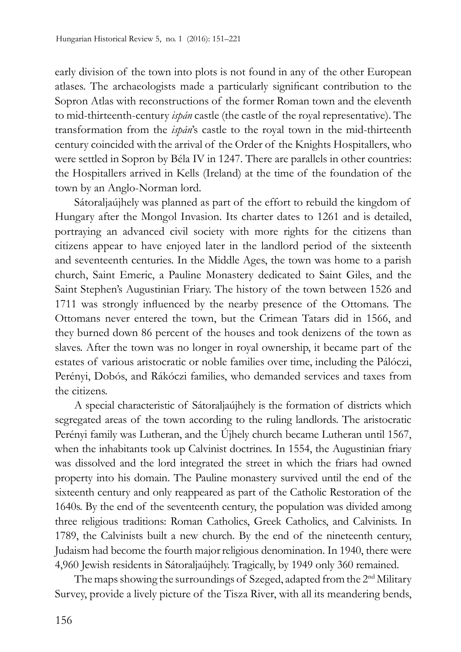early division of the town into plots is not found in any of the other European atlases. The archaeologists made a particularly significant contribution to the Sopron Atlas with reconstructions of the former Roman town and the eleventh to mid-thirteenth-century *ispán* castle (the castle of the royal representative). The transformation from the *ispán*'s castle to the royal town in the mid-thirteenth century coincided with the arrival of the Order of the Knights Hospitallers, who were settled in Sopron by Béla IV in 1247. There are parallels in other countries: the Hospitallers arrived in Kells (Ireland) at the time of the foundation of the town by an Anglo-Norman lord.

Sátoraljaújhely was planned as part of the effort to rebuild the kingdom of Hungary after the Mongol Invasion. Its charter dates to 1261 and is detailed, portraying an advanced civil society with more rights for the citizens than citizens appear to have enjoyed later in the landlord period of the sixteenth and seventeenth centuries. In the Middle Ages, the town was home to a parish church, Saint Emeric, a Pauline Monastery dedicated to Saint Giles, and the Saint Stephen's Augustinian Friary. The history of the town between 1526 and 1711 was strongly influenced by the nearby presence of the Ottomans. The Ottomans never entered the town, but the Crimean Tatars did in 1566, and they burned down 86 percent of the houses and took denizens of the town as slaves. After the town was no longer in royal ownership, it became part of the estates of various aristocratic or noble families over time, including the Pálóczi, Perényi, Dobós, and Rákóczi families, who demanded services and taxes from the citizens.

A special characteristic of Sátoraljaújhely is the formation of districts which segregated areas of the town according to the ruling landlords. The aristocratic Perényi family was Lutheran, and the Újhely church became Lutheran until 1567, when the inhabitants took up Calvinist doctrines. In 1554, the Augustinian friary was dissolved and the lord integrated the street in which the friars had owned property into his domain. The Pauline monastery survived until the end of the sixteenth century and only reappeared as part of the Catholic Restoration of the 1640s. By the end of the seventeenth century, the population was divided among three religious traditions: Roman Catholics, Greek Catholics, and Calvinists. In 1789, the Calvinists built a new church. By the end of the nineteenth century, Judaism had become the fourth majorreligious denomination. In 1940, there were 4,960 Jewish residents in Sátoraljaújhely. Tragically, by 1949 only 360 remained.

The maps showing the surroundings of Szeged, adapted from the 2<sup>nd</sup> Military Survey, provide a lively picture of the Tisza River, with all its meandering bends,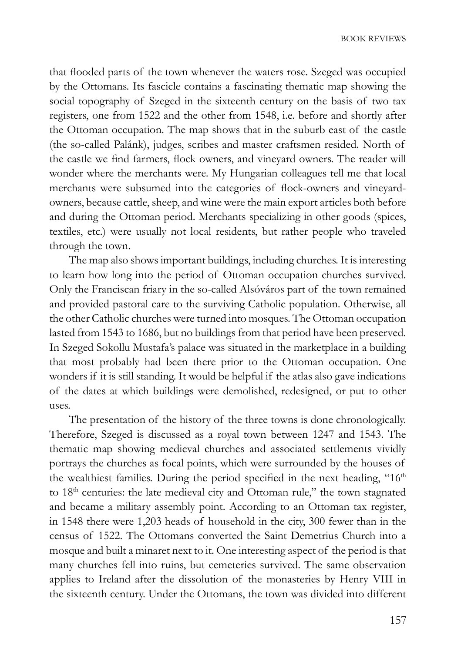that flooded parts of the town whenever the waters rose. Szeged was occupied by the Ottomans. Its fascicle contains a fascinating thematic map showing the social topography of Szeged in the sixteenth century on the basis of two tax registers, one from 1522 and the other from 1548, i.e. before and shortly after the Ottoman occupation. The map shows that in the suburb east of the castle (the so-called Palánk), judges, scribes and master craftsmen resided. North of the castle we find farmers, flock owners, and vineyard owners. The reader will wonder where the merchants were. My Hungarian colleagues tell me that local merchants were subsumed into the categories of flock-owners and vineyardowners, because cattle, sheep, and wine were the main export articles both before and during the Ottoman period. Merchants specializing in other goods (spices, textiles, etc.) were usually not local residents, but rather people who traveled through the town.

The map also shows important buildings, including churches. It is interesting to learn how long into the period of Ottoman occupation churches survived. Only the Franciscan friary in the so-called Alsóváros part of the town remained and provided pastoral care to the surviving Catholic population. Otherwise, all the other Catholic churches were turned into mosques. The Ottoman occupation lasted from 1543 to 1686, but no buildings from that period have been preserved. In Szeged Sokollu Mustafa's palace was situated in the marketplace in a building that most probably had been there prior to the Ottoman occupation. One wonders if it is still standing. It would be helpful if the atlas also gave indications of the dates at which buildings were demolished, redesigned, or put to other uses.

The presentation of the history of the three towns is done chronologically. Therefore, Szeged is discussed as a royal town between 1247 and 1543. The thematic map showing medieval churches and associated settlements vividly portrays the churches as focal points, which were surrounded by the houses of the wealthiest families. During the period specified in the next heading, "16<sup>th</sup> to 18<sup>th</sup> centuries: the late medieval city and Ottoman rule," the town stagnated and became a military assembly point. According to an Ottoman tax register, in 1548 there were 1,203 heads of household in the city, 300 fewer than in the census of 1522. The Ottomans converted the Saint Demetrius Church into a mosque and built a minaret next to it. One interesting aspect of the period is that many churches fell into ruins, but cemeteries survived. The same observation applies to Ireland after the dissolution of the monasteries by Henry VIII in the sixteenth century. Under the Ottomans, the town was divided into different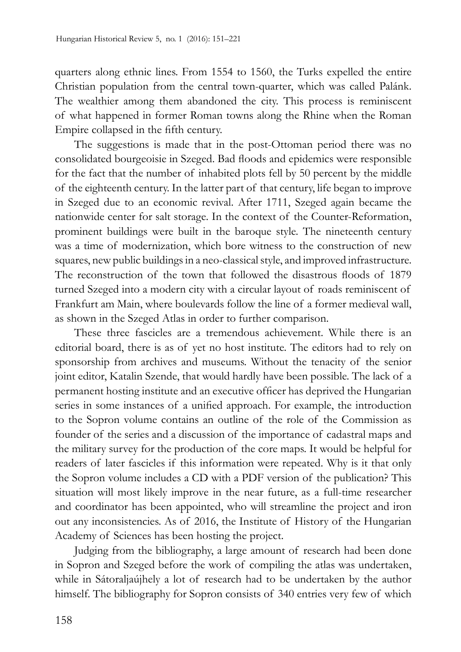quarters along ethnic lines. From 1554 to 1560, the Turks expelled the entire Christian population from the central town-quarter, which was called Palánk. The wealthier among them abandoned the city. This process is reminiscent of what happened in former Roman towns along the Rhine when the Roman Empire collapsed in the fifth century.

The suggestions is made that in the post-Ottoman period there was no consolidated bourgeoisie in Szeged. Bad floods and epidemics were responsible for the fact that the number of inhabited plots fell by 50 percent by the middle of the eighteenth century. In the latter part of that century, life began to improve in Szeged due to an economic revival. After 1711, Szeged again became the nationwide center for salt storage. In the context of the Counter-Reformation, prominent buildings were built in the baroque style. The nineteenth century was a time of modernization, which bore witness to the construction of new squares, new public buildings in a neo-classical style, and improved infrastructure. The reconstruction of the town that followed the disastrous floods of 1879 turned Szeged into a modern city with a circular layout of roads reminiscent of Frankfurt am Main, where boulevards follow the line of a former medieval wall, as shown in the Szeged Atlas in order to further comparison.

These three fascicles are a tremendous achievement. While there is an editorial board, there is as of yet no host institute. The editors had to rely on sponsorship from archives and museums. Without the tenacity of the senior joint editor, Katalin Szende, that would hardly have been possible. The lack of a permanent hosting institute and an executive officer has deprived the Hungarian series in some instances of a unified approach. For example, the introduction to the Sopron volume contains an outline of the role of the Commission as founder of the series and a discussion of the importance of cadastral maps and the military survey for the production of the core maps. It would be helpful for readers of later fascicles if this information were repeated. Why is it that only the Sopron volume includes a CD with a PDF version of the publication? This situation will most likely improve in the near future, as a full-time researcher and coordinator has been appointed, who will streamline the project and iron out any inconsistencies. As of 2016, the Institute of History of the Hungarian Academy of Sciences has been hosting the project.

Judging from the bibliography, a large amount of research had been done in Sopron and Szeged before the work of compiling the atlas was undertaken, while in Sátoraljaújhely a lot of research had to be undertaken by the author himself. The bibliography for Sopron consists of 340 entries very few of which